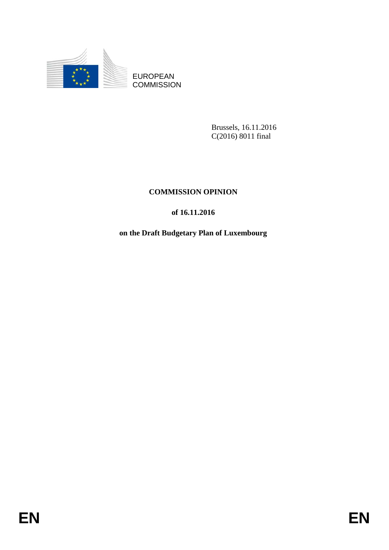

EUROPEAN **COMMISSION** 

> Brussels, 16.11.2016 C(2016) 8011 final

# **COMMISSION OPINION**

## **of 16.11.2016**

## **on the Draft Budgetary Plan of Luxembourg**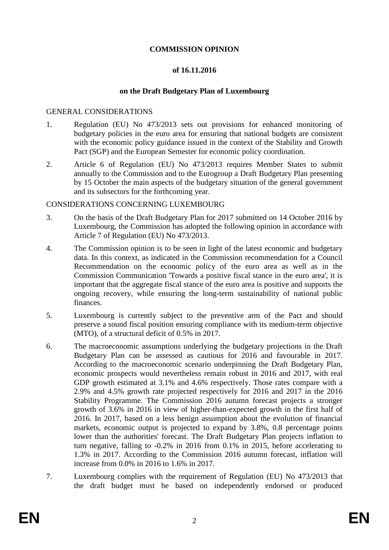### **COMMISSION OPINION**

#### **of 16.11.2016**

#### **on the Draft Budgetary Plan of Luxembourg**

#### GENERAL CONSIDERATIONS

- 1. Regulation (EU) No 473/2013 sets out provisions for enhanced monitoring of budgetary policies in the euro area for ensuring that national budgets are consistent with the economic policy guidance issued in the context of the Stability and Growth Pact (SGP) and the European Semester for economic policy coordination.
- 2. Article 6 of Regulation (EU) No 473/2013 requires Member States to submit annually to the Commission and to the Eurogroup a Draft Budgetary Plan presenting by 15 October the main aspects of the budgetary situation of the general government and its subsectors for the forthcoming year.

#### CONSIDERATIONS CONCERNING LUXEMBOURG

- 3. On the basis of the Draft Budgetary Plan for 2017 submitted on 14 October 2016 by Luxembourg, the Commission has adopted the following opinion in accordance with Article 7 of Regulation (EU) No 473/2013.
- 4. The Commission opinion is to be seen in light of the latest economic and budgetary data. In this context, as indicated in the Commission recommendation for a Council Recommendation on the economic policy of the euro area as well as in the Commission Communication 'Towards a positive fiscal stance in the euro area', it is important that the aggregate fiscal stance of the euro area is positive and supports the ongoing recovery, while ensuring the long-term sustainability of national public finances.
- 5. Luxembourg is currently subject to the preventive arm of the Pact and should preserve a sound fiscal position ensuring compliance with its medium-term objective  $(MTO)$ , of a structural deficit of 0.5% in 2017.
- 6. The macroeconomic assumptions underlying the budgetary projections in the Draft Budgetary Plan can be assessed as cautious for 2016 and favourable in 2017. According to the macroeconomic scenario underpinning the Draft Budgetary Plan, economic prospects would nevertheless remain robust in 2016 and 2017, with real GDP growth estimated at 3.1% and 4.6% respectively. Those rates compare with a 2.9% and 4.5% growth rate projected respectively for 2016 and 2017 in the 2016 Stability Programme. The Commission 2016 autumn forecast projects a stronger growth of 3.6% in 2016 in view of higher-than-expected growth in the first half of 2016. In 2017, based on a less benign assumption about the evolution of financial markets, economic output is projected to expand by 3.8%, 0.8 percentage points lower than the authorities' forecast. The Draft Budgetary Plan projects inflation to turn negative, falling to -0.2% in 2016 from 0.1% in 2015, before accelerating to 1.3% in 2017. According to the Commission 2016 autumn forecast, inflation will increase from 0.0% in 2016 to 1.6% in 2017.
- 7. Luxembourg complies with the requirement of Regulation (EU) No 473/2013 that the draft budget must be based on independently endorsed or produced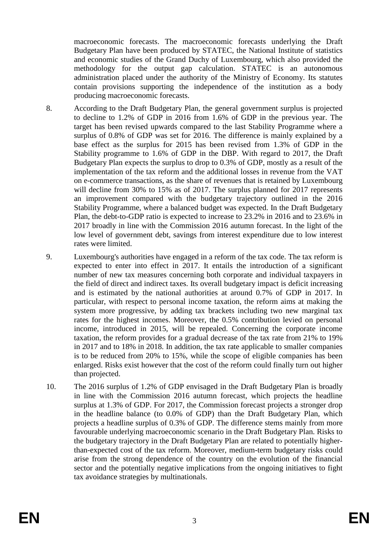macroeconomic forecasts. The macroeconomic forecasts underlying the Draft Budgetary Plan have been produced by STATEC, the National Institute of statistics and economic studies of the Grand Duchy of Luxembourg, which also provided the methodology for the output gap calculation. STATEC is an autonomous administration placed under the authority of the Ministry of Economy. Its statutes contain provisions supporting the independence of the institution as a body producing macroeconomic forecasts.

- 8. According to the Draft Budgetary Plan, the general government surplus is projected to decline to 1.2% of GDP in 2016 from 1.6% of GDP in the previous year. The target has been revised upwards compared to the last Stability Programme where a surplus of 0.8% of GDP was set for 2016. The difference is mainly explained by a base effect as the surplus for 2015 has been revised from 1.3% of GDP in the Stability programme to 1.6% of GDP in the DBP. With regard to 2017, the Draft Budgetary Plan expects the surplus to drop to 0.3% of GDP, mostly as a result of the implementation of the tax reform and the additional losses in revenue from the VAT on e-commerce transactions, as the share of revenues that is retained by Luxembourg will decline from 30% to 15% as of 2017. The surplus planned for 2017 represents an improvement compared with the budgetary trajectory outlined in the 2016 Stability Programme, where a balanced budget was expected. In the Draft Budgetary Plan, the debt-to-GDP ratio is expected to increase to 23.2% in 2016 and to 23.6% in 2017 broadly in line with the Commission 2016 autumn forecast. In the light of the low level of government debt, savings from interest expenditure due to low interest rates were limited.
- 9. Luxembourg's authorities have engaged in a reform of the tax code. The tax reform is expected to enter into effect in 2017. It entails the introduction of a significant number of new tax measures concerning both corporate and individual taxpayers in the field of direct and indirect taxes. Its overall budgetary impact is deficit increasing and is estimated by the national authorities at around 0.7% of GDP in 2017. In particular, with respect to personal income taxation, the reform aims at making the system more progressive, by adding tax brackets including two new marginal tax rates for the highest incomes. Moreover, the 0.5% contribution levied on personal income, introduced in 2015, will be repealed. Concerning the corporate income taxation, the reform provides for a gradual decrease of the tax rate from 21% to 19% in 2017 and to 18% in 2018. In addition, the tax rate applicable to smaller companies is to be reduced from 20% to 15%, while the scope of eligible companies has been enlarged. Risks exist however that the cost of the reform could finally turn out higher than projected.
- 10. The 2016 surplus of 1.2% of GDP envisaged in the Draft Budgetary Plan is broadly in line with the Commission 2016 autumn forecast, which projects the headline surplus at 1.3% of GDP. For 2017, the Commission forecast projects a stronger drop in the headline balance (to 0.0% of GDP) than the Draft Budgetary Plan, which projects a headline surplus of 0.3% of GDP. The difference stems mainly from more favourable underlying macroeconomic scenario in the Draft Budgetary Plan. Risks to the budgetary trajectory in the Draft Budgetary Plan are related to potentially higherthan-expected cost of the tax reform. Moreover, medium-term budgetary risks could arise from the strong dependence of the country on the evolution of the financial sector and the potentially negative implications from the ongoing initiatives to fight tax avoidance strategies by multinationals.